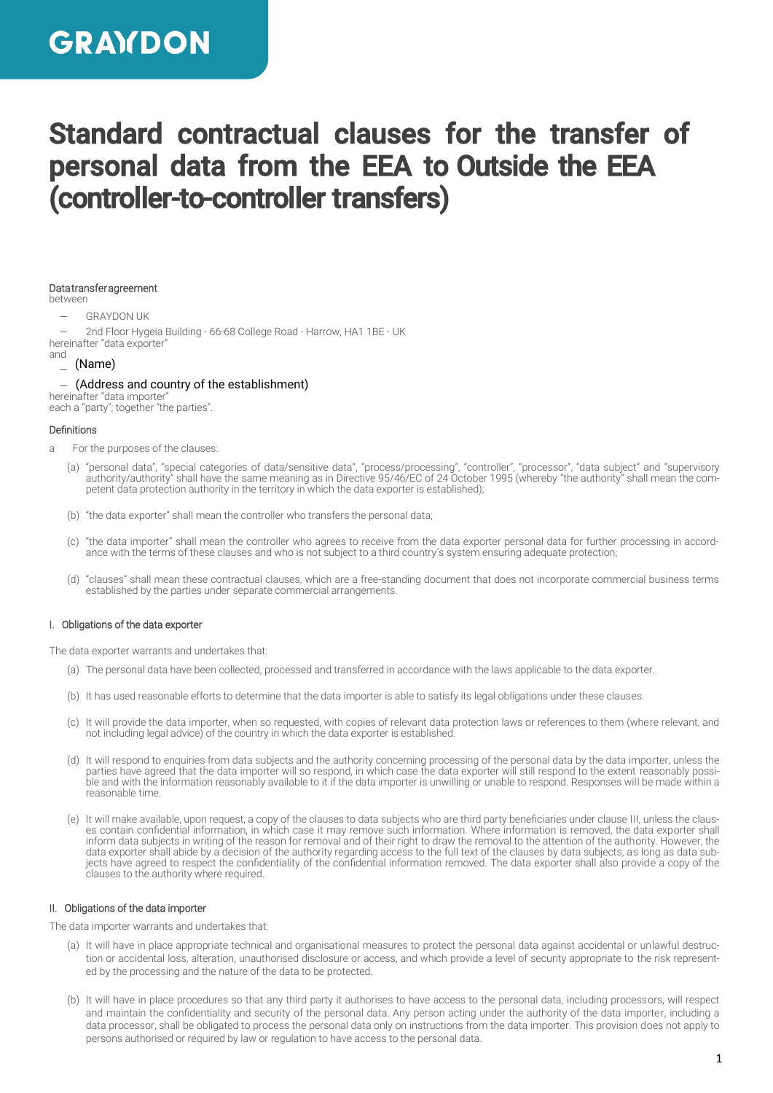# **GRAYDON**

# Standard contractual clauses for the transfer of personal data from the EEA to Outside the EEA (controller-to-controller transfers)

#### Data transfer agreement

between

- − GRAYDON UK
- − 2nd Floor Hygeia Building 66-68 College Road Harrow, HA1 1BE UK
- hereinafter "data exporter" and
- − (Name)

#### − (Address and country of the establishment)

hereinafter "data importer"

each a "party"; together "the parties".

#### Definitions

- a For the purposes of the clauses:
	- (a) "personal data", "special categories of data/sensitive data", "process/processing", "controller", "processor", "data subject" and "supervisory authority/authority" shall have the same meaning as in Directive 95/46/EC of 24 October 1995 (whereby "the authority" shall mean the competent data protection authority in the territory in which the data exporter is established);
	- (b) "the data exporter" shall mean the controller who transfers the personal data;
	- (c) "the data importer" shall mean the controller who agrees to receive from the data exporter personal data for further processing in accordance with the terms of these clauses and who is not subject to a third country's system ensuring adequate protection;
	- (d) "clauses" shall mean these contractual clauses, which are a free-standing document that does not incorporate commercial business terms established by the parties under separate commercial arrangements.

#### I. Obligations of the data exporter

The data exporter warrants and undertakes that:

- (a) The personal data have been collected, processed and transferred in accordance with the laws applicable to the data exporter.
- (b) It has used reasonable efforts to determine that the data importer is able to satisfy its legal obligations under these clauses.
- (c) It will provide the data importer, when so requested, with copies of relevant data protection laws or references to them (where relevant, and not including legal advice) of the country in which the data exporter is established.
- (d) It will respond to enquiries from data subjects and the authority concerning processing of the personal data by the data importer, unless the parties have agreed that the data importer will so respond, in which case the data exporter will still respond to the extent reasonably possible and with the information reasonably available to it if the data importer is unwilling or unable to respond. Responses will be made within a reasonable time.
- (e) It will make available, upon request, a copy of the clauses to data subjects who are third party beneficiaries under clause III, unless the clauses contain confidential information, in which case it may remove such information. Where information is removed, the data exporter shall inform data subjects in writing of the reason for removal and of their right to draw the removal to the attention of the authority. However, the data exporter shall abide by a decision of the authority regarding access to the full text of the clauses by data subjects, as long as data subjects have agreed to respect the confidentiality of the confidential information removed. The data exporter shall also provide a copy of the clauses to the authority where required.

#### II. Obligations of the data importer

The data importer warrants and undertakes that:

- (a) It will have in place appropriate technical and organisational measures to protect the personal data against accidental or unlawful destruction or accidental loss, alteration, unauthorised disclosure or access, and which provide a level of security appropriate to the risk represented by the processing and the nature of the data to be protected.
- (b) It will have in place procedures so that any third party it authorises to have access to the personal data, including processors, will respect and maintain the confidentiality and security of the personal data. Any person acting under the authority of the data importer, including a data processor, shall be obligated to process the personal data only on instructions from the data importer. This provision does not apply to persons authorised or required by law or regulation to have access to the personal data.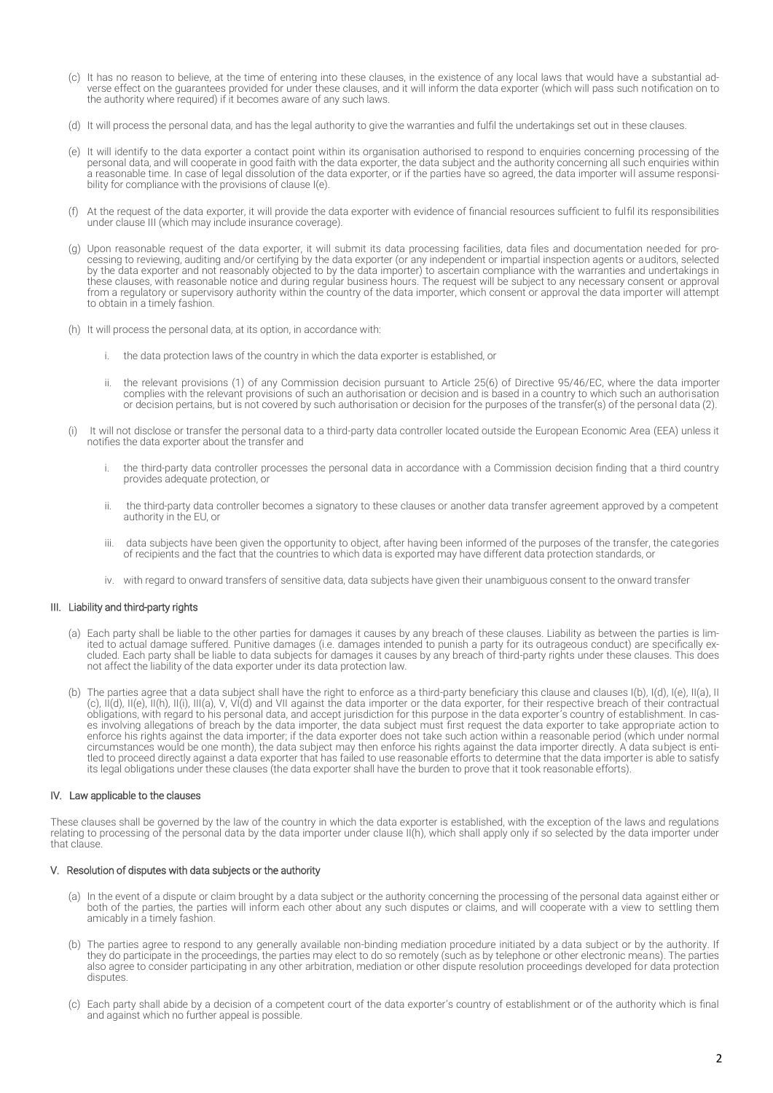- (c) It has no reason to believe, at the time of entering into these clauses, in the existence of any local laws that would have a substantial adverse effect on the guarantees provided for under these clauses, and it will inform the data exporter (which will pass such notification on to the authority where required) if it becomes aware of any such laws.
- (d) It will process the personal data, and has the legal authority to give the warranties and fulfil the undertakings set out in these clauses.
- (e) It will identify to the data exporter a contact point within its organisation authorised to respond to enquiries concerning processing of the personal data, and will cooperate in good faith with the data exporter, the data subject and the authority concerning all such enquiries within a reasonable time. In case of legal dissolution of the data exporter, or if the parties have so agreed, the data importer will assume responsibility for compliance with the provisions of clause I(e).
- (f) At the request of the data exporter, it will provide the data exporter with evidence of financial resources sufficient to fulfil its responsibilities under clause III (which may include insurance coverage).
- (g) Upon reasonable request of the data exporter, it will submit its data processing facilities, data files and documentation needed for processing to reviewing, auditing and/or certifying by the data exporter (or any independent or impartial inspection agents or auditors, selected by the data exporter and not reasonably objected to by the data importer) to ascertain compliance with the warranties and undertakings in these clauses, with reasonable notice and during regular business hours. The request will be subject to any necessary consent or approval from a regulatory or supervisory authority within the country of the data importer, which consent or approval the data importer will attempt to obtain in a timely fashion.
- (h) It will process the personal data, at its option, in accordance with:
	- i. the data protection laws of the country in which the data exporter is established, or
	- ii. the relevant provisions (1) of any Commission decision pursuant to Article 25(6) of Directive 95/46/EC, where the data importer complies with the relevant provisions of such an authorisation or decision and is based in a country to which such an authorisation or decision pertains, but is not covered by such authorisation or decision for the purposes of the transfer(s) of the personal data (2).
- (i) It will not disclose or transfer the personal data to a third-party data controller located outside the European Economic Area (EEA) unless it notifies the data exporter about the transfer and
	- i. the third-party data controller processes the personal data in accordance with a Commission decision finding that a third country provides adequate protection, or
	- ii. the third-party data controller becomes a signatory to these clauses or another data transfer agreement approved by a competent authority in the EU, or
	- iii. data subjects have been given the opportunity to object, after having been informed of the purposes of the transfer, the categories of recipients and the fact that the countries to which data is exported may have different data protection standards, or
	- iv. with regard to onward transfers of sensitive data, data subjects have given their unambiguous consent to the onward transfer

#### III. Liability and third-party rights

- (a) Each party shall be liable to the other parties for damages it causes by any breach of these clauses. Liability as between the parties is limited to actual damage suffered. Punitive damages (i.e. damages intended to punish a party for its outrageous conduct) are specifically excluded. Each party shall be liable to data subjects for damages it causes by any breach of third-party rights under these clauses. This does not affect the liability of the data exporter under its data protection law.
- (b) The parties agree that a data subject shall have the right to enforce as a third-party beneficiary this clause and clauses I(b), I(d), I(e), II(a), II (c), II(d), II(e), II(h), II(i), III(a), V, VI(d) and VII against the data importer or the data exporter, for their respective breach of their contractual obligations, with regard to his personal data, and accept jurisdiction for this purpose in the data exporter's country of establishment. In cases involving allegations of breach by the data importer, the data subject must first request the data exporter to take appropriate action to enforce his rights against the data importer; if the data exporter does not take such action within a reasonable period (which under normal circumstances would be one month), the data subject may then enforce his rights against the data importer directly. A data subject is entitled to proceed directly against a data exporter that has failed to use reasonable efforts to determine that the data importer is able to satisfy its legal obligations under these clauses (the data exporter shall have the burden to prove that it took reasonable efforts).

#### IV. Law applicable to the clauses

These clauses shall be governed by the law of the country in which the data exporter is established, with the exception of the laws and regulations relating to processing of the personal data by the data importer under clause II(h), which shall apply only if so selected by the data importer under that clause.

#### V. Resolution of disputes with data subjects or the authority

- (a) In the event of a dispute or claim brought by a data subject or the authority concerning the processing of the personal data against either or both of the parties, the parties will inform each other about any such disputes or claims, and will cooperate with a view to settling them amicably in a timely fashion.
- (b) The parties agree to respond to any generally available non-binding mediation procedure initiated by a data subject or by the authority. If they do participate in the proceedings, the parties may elect to do so remotely (such as by telephone or other electronic means). The parties also agree to consider participating in any other arbitration, mediation or other dispute resolution proceedings developed for data protection disputes.
- (c) Each party shall abide by a decision of a competent court of the data exporter's country of establishment or of the authority which is final and against which no further appeal is possible.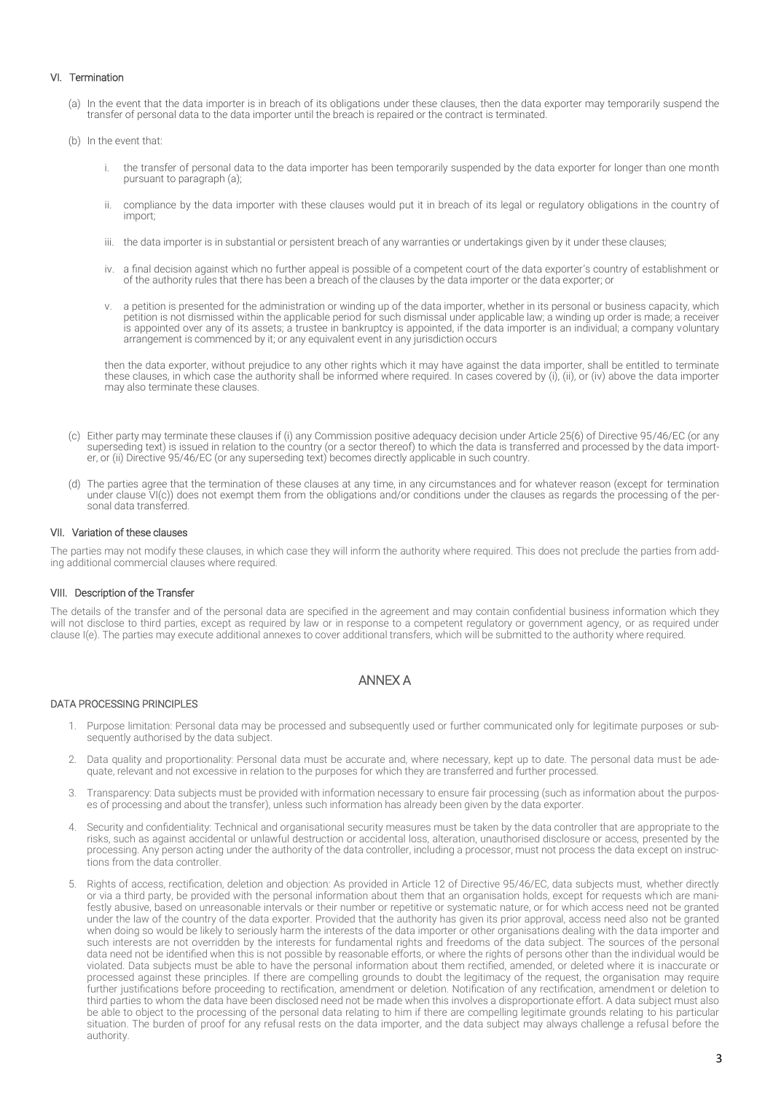### VI. Termination

- (a) In the event that the data importer is in breach of its obligations under these clauses, then the data exporter may temporarily suspend the transfer of personal data to the data importer until the breach is repaired or the contract is terminated.
- (b) In the event that:
	- the transfer of personal data to the data importer has been temporarily suspended by the data exporter for longer than one month pursuant to paragraph (a);
	- ii. compliance by the data importer with these clauses would put it in breach of its legal or regulatory obligations in the country of import;
	- iii. the data importer is in substantial or persistent breach of any warranties or undertakings given by it under these clauses;
	- iv. a final decision against which no further appeal is possible of a competent court of the data exporter's country of establishment or of the authority rules that there has been a breach of the clauses by the data importer or the data exporter; or
	- v. a petition is presented for the administration or winding up of the data importer, whether in its personal or business capacity, which petition is not dismissed within the applicable period for such dismissal under applicable law; a winding up order is made; a receiver is appointed over any of its assets; a trustee in bankruptcy is appointed, if the data importer is an individual; a company voluntary arrangement is commenced by it; or any equivalent event in any jurisdiction occurs

then the data exporter, without prejudice to any other rights which it may have against the data importer, shall be entitled to terminate these clauses, in which case the authority shall be informed where required. In cases covered by (i), (ii), or (iv) above the data importer may also terminate these clauses.

- (c) Either party may terminate these clauses if (i) any Commission positive adequacy decision under Article 25(6) of Directive 95/46/EC (or any superseding text) is issued in relation to the country (or a sector thereof) to which the data is transferred and processed by the data importer, or (ii) Directive 95/46/EC (or any superseding text) becomes directly applicable in such country.
- (d) The parties agree that the termination of these clauses at any time, in any circumstances and for whatever reason (except for termination under clause VI(c)) does not exempt them from the obligations and/or conditions under the clauses as regards the processing of the personal data transferred.

#### VII. Variation of these clauses

The parties may not modify these clauses, in which case they will inform the authority where required. This does not preclude the parties from adding additional commercial clauses where required.

#### VIII. Description of the Transfer

The details of the transfer and of the personal data are specified in the agreement and may contain confidential business information which they will not disclose to third parties, except as required by law or in response to a competent regulatory or government agency, or as required under clause I(e). The parties may execute additional annexes to cover additional transfers, which will be submitted to the authority where required.

### ANNEX A

#### DATA PROCESSING PRINCIPLES

- 1. Purpose limitation: Personal data may be processed and subsequently used or further communicated only for legitimate purposes or subsequently authorised by the data subject.
- 2. Data quality and proportionality: Personal data must be accurate and, where necessary, kept up to date. The personal data must be adequate, relevant and not excessive in relation to the purposes for which they are transferred and further processed.
- 3. Transparency: Data subjects must be provided with information necessary to ensure fair processing (such as information about the purposes of processing and about the transfer), unless such information has already been given by the data exporter.
- 4. Security and confidentiality: Technical and organisational security measures must be taken by the data controller that are appropriate to the risks, such as against accidental or unlawful destruction or accidental loss, alteration, unauthorised disclosure or access, presented by the processing. Any person acting under the authority of the data controller, including a processor, must not process the data except on instructions from the data controller.
- 5. Rights of access, rectification, deletion and objection: As provided in Article 12 of Directive 95/46/EC, data subjects must, whether directly or via a third party, be provided with the personal information about them that an organisation holds, except for requests which are manifestly abusive, based on unreasonable intervals or their number or repetitive or systematic nature, or for which access need not be granted under the law of the country of the data exporter. Provided that the authority has given its prior approval, access need also not be granted when doing so would be likely to seriously harm the interests of the data importer or other organisations dealing with the data importer and such interests are not overridden by the interests for fundamental rights and freedoms of the data subject. The sources of the personal data need not be identified when this is not possible by reasonable efforts, or where the rights of persons other than the individual would be violated. Data subjects must be able to have the personal information about them rectified, amended, or deleted where it is inaccurate or processed against these principles. If there are compelling grounds to doubt the legitimacy of the request, the organisation may require further justifications before proceeding to rectification, amendment or deletion. Notification of any rectification, amendment or deletion to third parties to whom the data have been disclosed need not be made when this involves a disproportionate effort. A data subject must also be able to object to the processing of the personal data relating to him if there are compelling legitimate grounds relating to his particular situation. The burden of proof for any refusal rests on the data importer, and the data subject may always challenge a refusal before the authority.